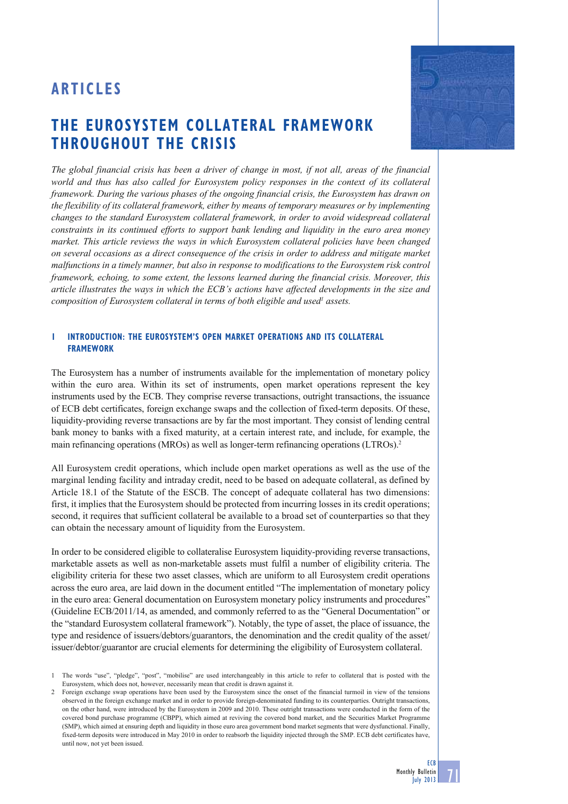## **THE EUROSYSTEM COLLATERAL FRAMEWORK THROUGHOUT THE CRISIS**

*The global financial crisis has been a driver of change in most, if not all, areas of the financial world and thus has also called for Eurosystem policy responses in the context of its collateral framework. During the various phases of the ongoing financial crisis, the Eurosystem has drawn on the flexibility of its collateral framework, either by means of temporary measures or by implementing changes to the standard Eurosystem collateral framework, in order to avoid widespread collateral constraints in its continued efforts to support bank lending and liquidity in the euro area money market. This article reviews the ways in which Eurosystem collateral policies have been changed on several occasions as a direct consequence of the crisis in order to address and mitigate market malfunctions in a timely manner, but also in response to modifications to the Eurosystem risk control framework, echoing, to some extent, the lessons learned during the financial crisis. Moreover, this article illustrates the ways in which the ECB's actions have affected developments in the size and*  composition of Eurosystem collateral in terms of both eligible and used<sup>1</sup> assets.

## **1 INTRODUCTION: THE EUROSYSTEM'S OPEN MARKET OPERATIONS AND ITS COLLATERAL FRAMEWORK**

The Eurosystem has a number of instruments available for the implementation of monetary policy within the euro area. Within its set of instruments, open market operations represent the key instruments used by the ECB. They comprise reverse transactions, outright transactions, the issuance of ECB debt certificates, foreign exchange swaps and the collection of fixed-term deposits. Of these, liquidity-providing reverse transactions are by far the most important. They consist of lending central bank money to banks with a fixed maturity, at a certain interest rate, and include, for example, the main refinancing operations (MROs) as well as longer-term refinancing operations (LTROs).2

All Eurosystem credit operations, which include open market operations as well as the use of the marginal lending facility and intraday credit, need to be based on adequate collateral, as defined by Article 18.1 of the Statute of the ESCB. The concept of adequate collateral has two dimensions: first, it implies that the Eurosystem should be protected from incurring losses in its credit operations; second, it requires that sufficient collateral be available to a broad set of counterparties so that they can obtain the necessary amount of liquidity from the Eurosystem.

In order to be considered eligible to collateralise Eurosystem liquidity-providing reverse transactions, marketable assets as well as non-marketable assets must fulfil a number of eligibility criteria. The eligibility criteria for these two asset classes, which are uniform to all Eurosystem credit operations across the euro area, are laid down in the document entitled "The implementation of monetary policy in the euro area: General documentation on Eurosystem monetary policy instruments and procedures" (Guideline ECB/2011/14, as amended, and commonly referred to as the "General Documentation" or the "standard Eurosystem collateral framework"). Notably, the type of asset, the place of issuance, the type and residence of issuers/debtors/guarantors, the denomination and the credit quality of the asset/ issuer/debtor/guarantor are crucial elements for determining the eligibility of Eurosystem collateral.



71

<sup>1</sup> The words "use", "pledge", "post", "mobilise" are used interchangeably in this article to refer to collateral that is posted with the Eurosystem, which does not, however, necessarily mean that credit is drawn against it.

<sup>2</sup> Foreign exchange swap operations have been used by the Eurosystem since the onset of the financial turmoil in view of the tensions observed in the foreign exchange market and in order to provide foreign-denominated funding to its counterparties. Outright transactions, on the other hand, were introduced by the Eurosystem in 2009 and 2010. These outright transactions were conducted in the form of the covered bond purchase programme (CBPP), which aimed at reviving the covered bond market, and the Securities Market Programme (SMP), which aimed at ensuring depth and liquidity in those euro area government bond market segments that were dysfunctional. Finally, fixed-term deposits were introduced in May 2010 in order to reabsorb the liquidity injected through the SMP. ECB debt certificates have, until now, not yet been issued.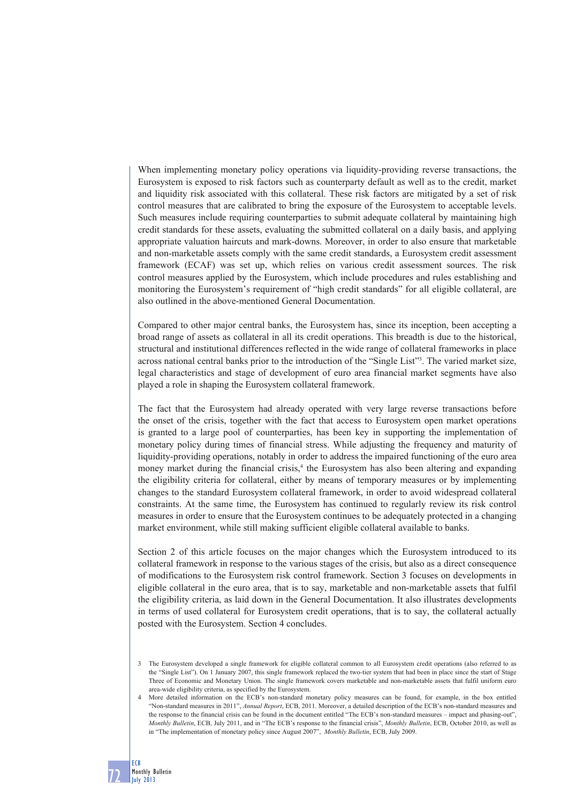When implementing monetary policy operations via liquidity-providing reverse transactions, the Eurosystem is exposed to risk factors such as counterparty default as well as to the credit, market and liquidity risk associated with this collateral. These risk factors are mitigated by a set of risk control measures that are calibrated to bring the exposure of the Eurosystem to acceptable levels. Such measures include requiring counterparties to submit adequate collateral by maintaining high credit standards for these assets, evaluating the submitted collateral on a daily basis, and applying appropriate valuation haircuts and mark-downs. Moreover, in order to also ensure that marketable and non-marketable assets comply with the same credit standards, a Eurosystem credit assessment framework (ECAF) was set up, which relies on various credit assessment sources. The risk control measures applied by the Eurosystem, which include procedures and rules establishing and monitoring the Eurosystem's requirement of "high credit standards" for all eligible collateral, are also outlined in the above-mentioned General Documentation.

Compared to other major central banks, the Eurosystem has, since its inception, been accepting a broad range of assets as collateral in all its credit operations. This breadth is due to the historical, structural and institutional differences reflected in the wide range of collateral frameworks in place across national central banks prior to the introduction of the "Single List"3 . The varied market size, legal characteristics and stage of development of euro area financial market segments have also played a role in shaping the Eurosystem collateral framework.

The fact that the Eurosystem had already operated with very large reverse transactions before the onset of the crisis, together with the fact that access to Eurosystem open market operations is granted to a large pool of counterparties, has been key in supporting the implementation of monetary policy during times of financial stress. While adjusting the frequency and maturity of liquidity-providing operations, notably in order to address the impaired functioning of the euro area money market during the financial crisis,<sup>4</sup> the Eurosystem has also been altering and expanding the eligibility criteria for collateral, either by means of temporary measures or by implementing changes to the standard Eurosystem collateral framework, in order to avoid widespread collateral constraints. At the same time, the Eurosystem has continued to regularly review its risk control measures in order to ensure that the Eurosystem continues to be adequately protected in a changing market environment, while still making sufficient eligible collateral available to banks.

Section 2 of this article focuses on the major changes which the Eurosystem introduced to its collateral framework in response to the various stages of the crisis, but also as a direct consequence of modifications to the Eurosystem risk control framework. Section 3 focuses on developments in eligible collateral in the euro area, that is to say, marketable and non-marketable assets that fulfil the eligibility criteria, as laid down in the General Documentation. It also illustrates developments in terms of used collateral for Eurosystem credit operations, that is to say, the collateral actually posted with the Eurosystem. Section 4 concludes.

72

<sup>3</sup> The Eurosystem developed a single framework for eligible collateral common to all Eurosystem credit operations (also referred to as the "Single List"). On 1 January 2007, this single framework replaced the two-tier system that had been in place since the start of Stage Three of Economic and Monetary Union. The single framework covers marketable and non-marketable assets that fulfil uniform euro area-wide eligibility criteria, as specified by the Eurosystem.

More detailed information on the ECB's non-standard monetary policy measures can be found, for example, in the box entitled "Non-standard measures in 2011", *Annual Report*, ECB, 2011. Moreover, a detailed description of the ECB's non-standard measures and the response to the financial crisis can be found in the document entitled "The ECB's non-standard measures – impact and phasing-out", *Monthly Bulletin*, ECB, July 2011, and in "The ECB's response to the financial crisis", *Monthly Bulletin*, ECB, October 2010, as well as in "The implementation of monetary policy since August 2007", *Monthly Bulletin*, ECB, July 2009.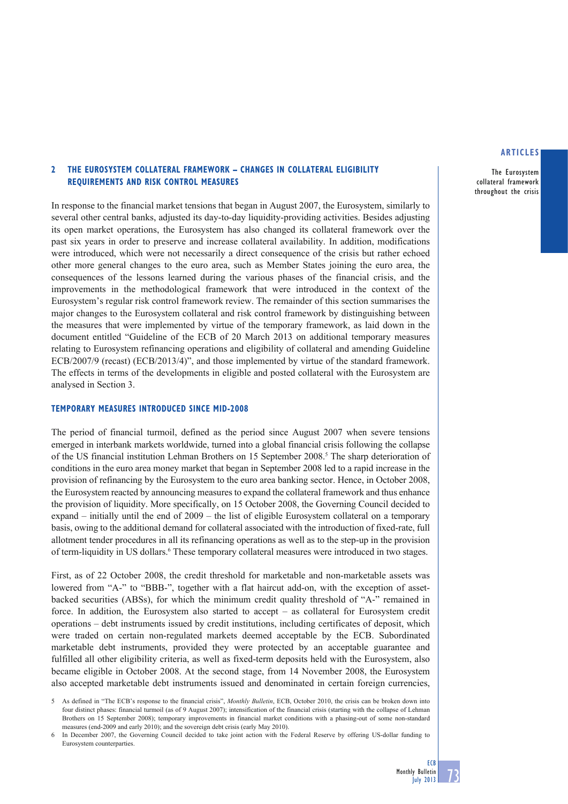The Eurosystem collateral framework throughout the crisis

## **2 THE EUROSYSTEM COLLATERAL FRAMEWORK – CHANGES IN COLLATERAL ELIGIBILITY REQUIREMENTS AND RISK CONTROL MEASURES**

In response to the financial market tensions that began in August 2007, the Eurosystem, similarly to several other central banks, adjusted its day-to-day liquidity-providing activities. Besides adjusting its open market operations, the Eurosystem has also changed its collateral framework over the past six years in order to preserve and increase collateral availability. In addition, modifications were introduced, which were not necessarily a direct consequence of the crisis but rather echoed other more general changes to the euro area, such as Member States joining the euro area, the consequences of the lessons learned during the various phases of the financial crisis, and the improvements in the methodological framework that were introduced in the context of the Eurosystem's regular risk control framework review. The remainder of this section summarises the major changes to the Eurosystem collateral and risk control framework by distinguishing between the measures that were implemented by virtue of the temporary framework, as laid down in the document entitled "Guideline of the ECB of 20 March 2013 on additional temporary measures relating to Eurosystem refinancing operations and eligibility of collateral and amending Guideline ECB/2007/9 (recast) (ECB/2013/4)", and those implemented by virtue of the standard framework. The effects in terms of the developments in eligible and posted collateral with the Eurosystem are analysed in Section 3.

### **TEMPORARY MEASURES INTRODUCED SINCE MID-2008**

The period of financial turmoil, defined as the period since August 2007 when severe tensions emerged in interbank markets worldwide, turned into a global financial crisis following the collapse of the US financial institution Lehman Brothers on 15 September 2008.<sup>5</sup> The sharp deterioration of conditions in the euro area money market that began in September 2008 led to a rapid increase in the provision of refinancing by the Eurosystem to the euro area banking sector. Hence, in October 2008, the Eurosystem reacted by announcing measures to expand the collateral framework and thus enhance the provision of liquidity. More specifically, on 15 October 2008, the Governing Council decided to expand – initially until the end of 2009 – the list of eligible Eurosystem collateral on a temporary basis, owing to the additional demand for collateral associated with the introduction of fixed-rate, full allotment tender procedures in all its refinancing operations as well as to the step-up in the provision of term-liquidity in US dollars.<sup>6</sup> These temporary collateral measures were introduced in two stages.

First, as of 22 October 2008, the credit threshold for marketable and non-marketable assets was lowered from "A-" to "BBB-", together with a flat haircut add-on, with the exception of assetbacked securities (ABSs), for which the minimum credit quality threshold of "A-" remained in force. In addition, the Eurosystem also started to accept – as collateral for Eurosystem credit operations – debt instruments issued by credit institutions, including certificates of deposit, which were traded on certain non-regulated markets deemed acceptable by the ECB. Subordinated marketable debt instruments, provided they were protected by an acceptable guarantee and fulfilled all other eligibility criteria, as well as fixed-term deposits held with the Eurosystem, also became eligible in October 2008. At the second stage, from 14 November 2008, the Eurosystem also accepted marketable debt instruments issued and denominated in certain foreign currencies,

<sup>5</sup> As defined in "The ECB's response to the financial crisis", *Monthly Bulletin*, ECB, October 2010, the crisis can be broken down into four distinct phases: financial turmoil (as of 9 August 2007); intensification of the financial crisis (starting with the collapse of Lehman Brothers on 15 September 2008); temporary improvements in financial market conditions with a phasing-out of some non-standard measures (end-2009 and early 2010); and the sovereign debt crisis (early May 2010).

<sup>6</sup> In December 2007, the Governing Council decided to take joint action with the Federal Reserve by offering US-dollar funding to Eurosystem counterparties.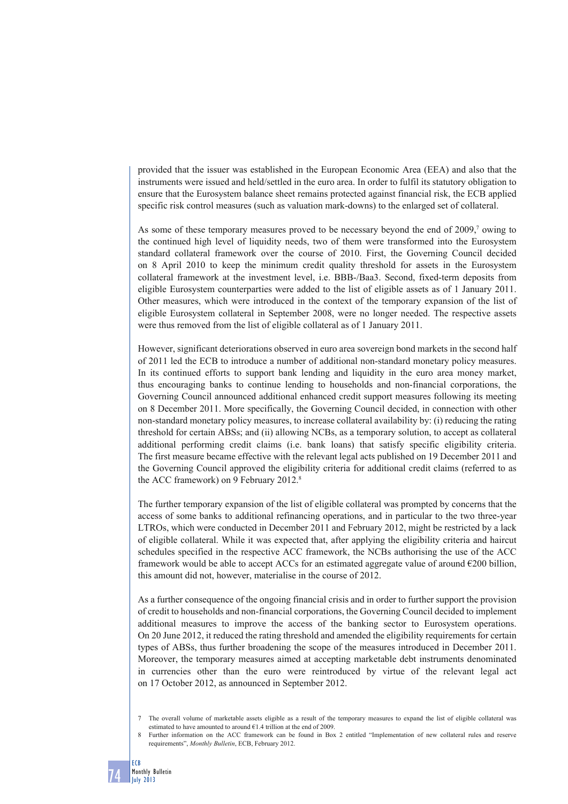provided that the issuer was established in the European Economic Area (EEA) and also that the instruments were issued and held/settled in the euro area. In order to fulfil its statutory obligation to ensure that the Eurosystem balance sheet remains protected against financial risk, the ECB applied specific risk control measures (such as valuation mark-downs) to the enlarged set of collateral.

As some of these temporary measures proved to be necessary beyond the end of 2009,<sup>7</sup> owing to the continued high level of liquidity needs, two of them were transformed into the Eurosystem standard collateral framework over the course of 2010. First, the Governing Council decided on 8 April 2010 to keep the minimum credit quality threshold for assets in the Eurosystem collateral framework at the investment level, i.e. BBB-/Baa3. Second, fixed-term deposits from eligible Eurosystem counterparties were added to the list of eligible assets as of 1 January 2011. Other measures, which were introduced in the context of the temporary expansion of the list of eligible Eurosystem collateral in September 2008, were no longer needed. The respective assets were thus removed from the list of eligible collateral as of 1 January 2011.

However, significant deteriorations observed in euro area sovereign bond markets in the second half of 2011 led the ECB to introduce a number of additional non-standard monetary policy measures. In its continued efforts to support bank lending and liquidity in the euro area money market, thus encouraging banks to continue lending to households and non-financial corporations, the Governing Council announced additional enhanced credit support measures following its meeting on 8 December 2011. More specifically, the Governing Council decided, in connection with other non-standard monetary policy measures, to increase collateral availability by: (i) reducing the rating threshold for certain ABSs; and (ii) allowing NCBs, as a temporary solution, to accept as collateral additional performing credit claims (i.e. bank loans) that satisfy specific eligibility criteria. The first measure became effective with the relevant legal acts published on 19 December 2011 and the Governing Council approved the eligibility criteria for additional credit claims (referred to as the ACC framework) on 9 February 2012.<sup>8</sup>

The further temporary expansion of the list of eligible collateral was prompted by concerns that the access of some banks to additional refinancing operations, and in particular to the two three-year LTROs, which were conducted in December 2011 and February 2012, might be restricted by a lack of eligible collateral. While it was expected that, after applying the eligibility criteria and haircut schedules specified in the respective ACC framework, the NCBs authorising the use of the ACC framework would be able to accept ACCs for an estimated aggregate value of around  $\epsilon$ 200 billion, this amount did not, however, materialise in the course of 2012.

As a further consequence of the ongoing financial crisis and in order to further support the provision of credit to households and non-financial corporations, the Governing Council decided to implement additional measures to improve the access of the banking sector to Eurosystem operations. On 20 June 2012, it reduced the rating threshold and amended the eligibility requirements for certain types of ABSs, thus further broadening the scope of the measures introduced in December 2011. Moreover, the temporary measures aimed at accepting marketable debt instruments denominated in currencies other than the euro were reintroduced by virtue of the relevant legal act on 17 October 2012, as announced in September 2012.

74

<sup>7</sup> The overall volume of marketable assets eligible as a result of the temporary measures to expand the list of eligible collateral was estimated to have amounted to around €1.4 trillion at the end of 2009.

<sup>8</sup> Further information on the ACC framework can be found in Box 2 entitled "Implementation of new collateral rules and reserve requirements", *Monthly Bulletin*, ECB, February 2012.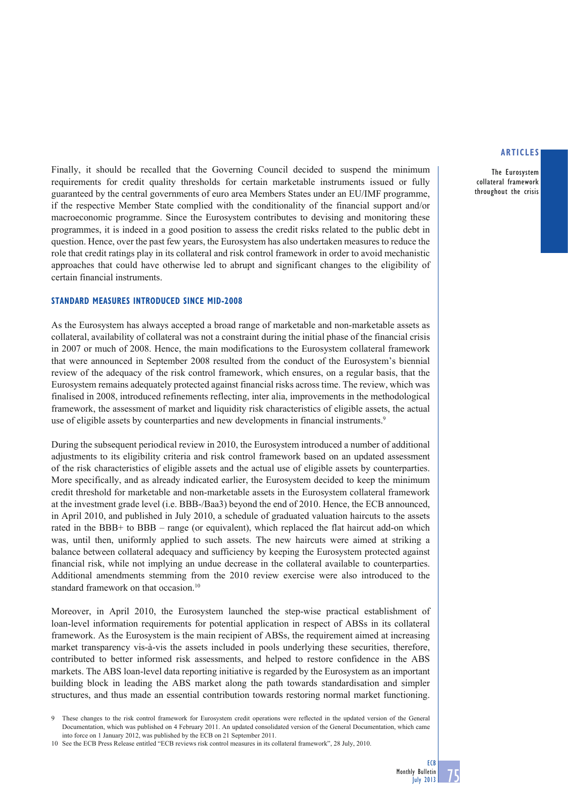The Eurosystem collateral framework throughout the crisis

Finally, it should be recalled that the Governing Council decided to suspend the minimum requirements for credit quality thresholds for certain marketable instruments issued or fully guaranteed by the central governments of euro area Members States under an EU/IMF programme, if the respective Member State complied with the conditionality of the financial support and/or macroeconomic programme. Since the Eurosystem contributes to devising and monitoring these programmes, it is indeed in a good position to assess the credit risks related to the public debt in question. Hence, over the past few years, the Eurosystem has also undertaken measures to reduce the role that credit ratings play in its collateral and risk control framework in order to avoid mechanistic approaches that could have otherwise led to abrupt and significant changes to the eligibility of certain financial instruments.

## **STANDARD MEASURES INTRODUCED SINCE MID-2008**

As the Eurosystem has always accepted a broad range of marketable and non-marketable assets as collateral, availability of collateral was not a constraint during the initial phase of the financial crisis in 2007 or much of 2008. Hence, the main modifications to the Eurosystem collateral framework that were announced in September 2008 resulted from the conduct of the Eurosystem's biennial review of the adequacy of the risk control framework, which ensures, on a regular basis, that the Eurosystem remains adequately protected against financial risks across time. The review, which was finalised in 2008, introduced refinements reflecting, inter alia, improvements in the methodological framework, the assessment of market and liquidity risk characteristics of eligible assets, the actual use of eligible assets by counterparties and new developments in financial instruments.9

During the subsequent periodical review in 2010, the Eurosystem introduced a number of additional adjustments to its eligibility criteria and risk control framework based on an updated assessment of the risk characteristics of eligible assets and the actual use of eligible assets by counterparties. More specifically, and as already indicated earlier, the Eurosystem decided to keep the minimum credit threshold for marketable and non-marketable assets in the Eurosystem collateral framework at the investment grade level (i.e. BBB-/Baa3) beyond the end of 2010. Hence, the ECB announced, in April 2010, and published in July 2010, a schedule of graduated valuation haircuts to the assets rated in the BBB+ to BBB – range (or equivalent), which replaced the flat haircut add-on which was, until then, uniformly applied to such assets. The new haircuts were aimed at striking a balance between collateral adequacy and sufficiency by keeping the Eurosystem protected against financial risk, while not implying an undue decrease in the collateral available to counterparties. Additional amendments stemming from the 2010 review exercise were also introduced to the standard framework on that occasion.<sup>10</sup>

Moreover, in April 2010, the Eurosystem launched the step-wise practical establishment of loan-level information requirements for potential application in respect of ABSs in its collateral framework. As the Eurosystem is the main recipient of ABSs, the requirement aimed at increasing market transparency vis-à-vis the assets included in pools underlying these securities, therefore, contributed to better informed risk assessments, and helped to restore confidence in the ABS markets. The ABS loan-level data reporting initiative is regarded by the Eurosystem as an important building block in leading the ABS market along the path towards standardisation and simpler structures, and thus made an essential contribution towards restoring normal market functioning.

<sup>9</sup> These changes to the risk control framework for Eurosystem credit operations were reflected in the updated version of the General Documentation, which was published on 4 February 2011. An updated consolidated version of the General Documentation, which came into force on 1 January 2012, was published by the ECB on 21 September 2011.

<sup>10</sup> See the ECB Press Release entitled "ECB reviews risk control measures in its collateral framework", 28 July, 2010.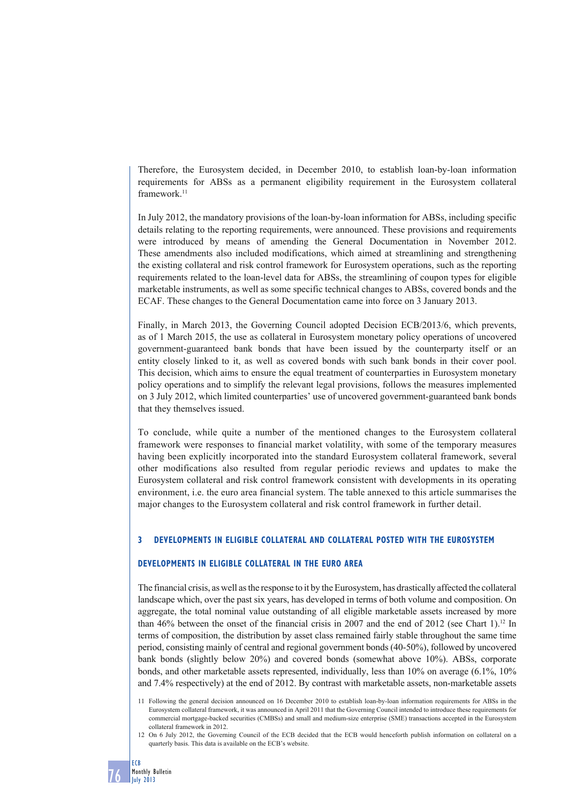Therefore, the Eurosystem decided, in December 2010, to establish loan-by-loan information requirements for ABSs as a permanent eligibility requirement in the Eurosystem collateral framework.<sup>11</sup>

In July 2012, the mandatory provisions of the loan-by-loan information for ABSs, including specific details relating to the reporting requirements, were announced. These provisions and requirements were introduced by means of amending the General Documentation in November 2012. These amendments also included modifications, which aimed at streamlining and strengthening the existing collateral and risk control framework for Eurosystem operations, such as the reporting requirements related to the loan-level data for ABSs, the streamlining of coupon types for eligible marketable instruments, as well as some specific technical changes to ABSs, covered bonds and the ECAF. These changes to the General Documentation came into force on 3 January 2013.

Finally, in March 2013, the Governing Council adopted Decision ECB/2013/6, which prevents, as of 1 March 2015, the use as collateral in Eurosystem monetary policy operations of uncovered government-guaranteed bank bonds that have been issued by the counterparty itself or an entity closely linked to it, as well as covered bonds with such bank bonds in their cover pool. This decision, which aims to ensure the equal treatment of counterparties in Eurosystem monetary policy operations and to simplify the relevant legal provisions, follows the measures implemented on 3 July 2012, which limited counterparties' use of uncovered government-guaranteed bank bonds that they themselves issued.

To conclude, while quite a number of the mentioned changes to the Eurosystem collateral framework were responses to financial market volatility, with some of the temporary measures having been explicitly incorporated into the standard Eurosystem collateral framework, several other modifications also resulted from regular periodic reviews and updates to make the Eurosystem collateral and risk control framework consistent with developments in its operating environment, i.e. the euro area financial system. The table annexed to this article summarises the major changes to the Eurosystem collateral and risk control framework in further detail.

## **3 DEVELOPMENTS IN ELIGIBLE COLLATERAL AND COLLATERAL POSTED WITH THE EUROSYSTEM**

## **DEVELOPMENTS IN ELIGIBLE COLLATERAL IN THE EURO AREA**

The financial crisis, as well as the response to it by the Eurosystem, has drastically affected the collateral landscape which, over the past six years, has developed in terms of both volume and composition. On aggregate, the total nominal value outstanding of all eligible marketable assets increased by more than 46% between the onset of the financial crisis in 2007 and the end of 2012 (see Chart 1).<sup>12</sup> In terms of composition, the distribution by asset class remained fairly stable throughout the same time period, consisting mainly of central and regional government bonds (40-50%), followed by uncovered bank bonds (slightly below 20%) and covered bonds (somewhat above 10%). ABSs, corporate bonds, and other marketable assets represented, individually, less than 10% on average (6.1%, 10% and 7.4% respectively) at the end of 2012. By contrast with marketable assets, non-marketable assets

12 On 6 July 2012, the Governing Council of the ECB decided that the ECB would henceforth publish information on collateral on a quarterly basis. This data is available on the ECB's website.

<sup>11</sup> Following the general decision announced on 16 December 2010 to establish loan-by-loan information requirements for ABSs in the Eurosystem collateral framework, it was announced in April 2011 that the Governing Council intended to introduce these requirements for commercial mortgage-backed securities (CMBSs) and small and medium-size enterprise (SME) transactions accepted in the Eurosystem collateral framework in 2012.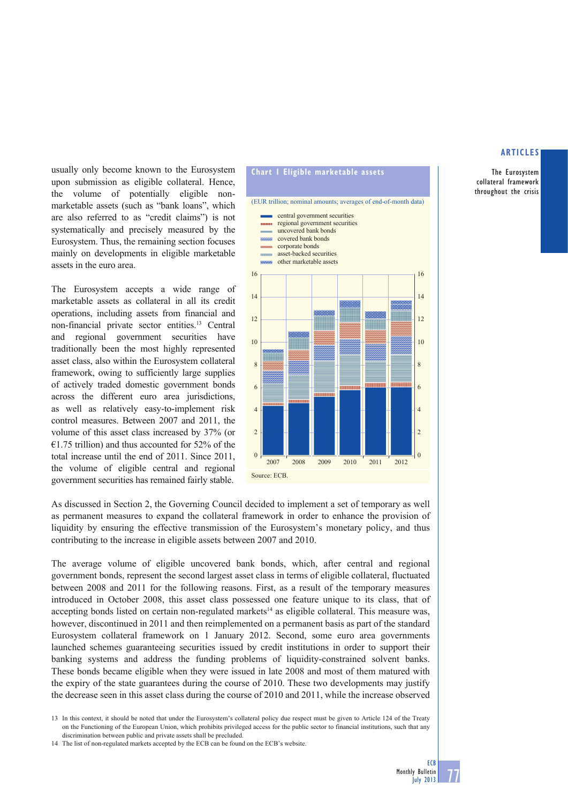The Eurosystem collateral framework throughout the crisis

usually only become known to the Eurosystem upon submission as eligible collateral. Hence, the volume of potentially eligible nonmarketable assets (such as "bank loans", which are also referred to as "credit claims") is not systematically and precisely measured by the Eurosystem. Thus, the remaining section focuses mainly on developments in eligible marketable assets in the euro area.

The Eurosystem accepts a wide range of marketable assets as collateral in all its credit operations, including assets from financial and non-financial private sector entities.13 Central and regional government securities have traditionally been the most highly represented asset class, also within the Eurosystem collateral framework, owing to sufficiently large supplies of actively traded domestic government bonds across the different euro area jurisdictions, as well as relatively easy-to-implement risk control measures. Between 2007 and 2011, the volume of this asset class increased by 37% (or  $€1.75$  trillion) and thus accounted for 52% of the total increase until the end of 2011. Since 2011, the volume of eligible central and regional government securities has remained fairly stable.



As discussed in Section 2, the Governing Council decided to implement a set of temporary as well as permanent measures to expand the collateral framework in order to enhance the provision of liquidity by ensuring the effective transmission of the Eurosystem's monetary policy, and thus contributing to the increase in eligible assets between 2007 and 2010.

The average volume of eligible uncovered bank bonds, which, after central and regional government bonds, represent the second largest asset class in terms of eligible collateral, fluctuated between 2008 and 2011 for the following reasons. First, as a result of the temporary measures introduced in October 2008, this asset class possessed one feature unique to its class, that of accepting bonds listed on certain non-regulated markets<sup>14</sup> as eligible collateral. This measure was, however, discontinued in 2011 and then reimplemented on a permanent basis as part of the standard Eurosystem collateral framework on 1 January 2012. Second, some euro area governments launched schemes guaranteeing securities issued by credit institutions in order to support their banking systems and address the funding problems of liquidity-constrained solvent banks. These bonds became eligible when they were issued in late 2008 and most of them matured with the expiry of the state guarantees during the course of 2010. These two developments may justify the decrease seen in this asset class during the course of 2010 and 2011, while the increase observed

<sup>13</sup> In this context, it should be noted that under the Eurosystem's collateral policy due respect must be given to Article 124 of the Treaty on the Functioning of the European Union, which prohibits privileged access for the public sector to financial institutions, such that any discrimination between public and private assets shall be precluded.

<sup>14</sup> The list of non-regulated markets accepted by the ECB can be found on the ECB's website.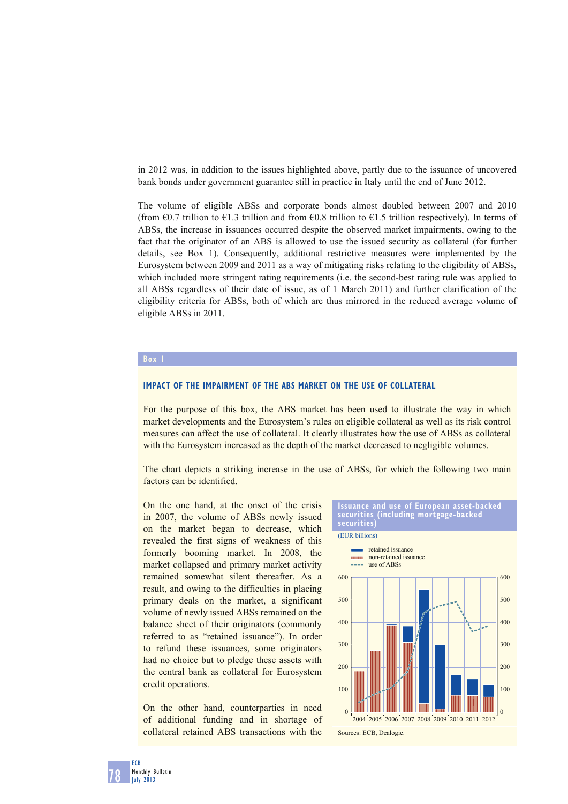in 2012 was, in addition to the issues highlighted above, partly due to the issuance of uncovered bank bonds under government guarantee still in practice in Italy until the end of June 2012.

The volume of eligible ABSs and corporate bonds almost doubled between 2007 and 2010 (from  $\epsilon$ 0.7 trillion to  $\epsilon$ 1.3 trillion and from  $\epsilon$ 0.8 trillion to  $\epsilon$ 1.5 trillion respectively). In terms of ABSs, the increase in issuances occurred despite the observed market impairments, owing to the fact that the originator of an ABS is allowed to use the issued security as collateral (for further details, see Box 1). Consequently, additional restrictive measures were implemented by the Eurosystem between 2009 and 2011 as a way of mitigating risks relating to the eligibility of ABSs, which included more stringent rating requirements (i.e. the second-best rating rule was applied to all ABSs regardless of their date of issue, as of 1 March 2011) and further clarification of the eligibility criteria for ABSs, both of which are thus mirrored in the reduced average volume of eligible ABSs in 2011.

## **Box 1**

#### **IMPACT OF THE IMPAIRMENT OF THE ABS MARKET ON THE USE OF COLLATERAL**

For the purpose of this box, the ABS market has been used to illustrate the way in which market developments and the Eurosystem's rules on eligible collateral as well as its risk control measures can affect the use of collateral. It clearly illustrates how the use of ABSs as collateral with the Eurosystem increased as the depth of the market decreased to negligible volumes.

The chart depicts a striking increase in the use of ABSs, for which the following two main factors can be identified.

On the one hand, at the onset of the crisis in 2007, the volume of ABSs newly issued on the market began to decrease, which revealed the first signs of weakness of this formerly booming market. In 2008, the market collapsed and primary market activity remained somewhat silent thereafter. As a result, and owing to the difficulties in placing primary deals on the market, a significant volume of newly issued ABSs remained on the balance sheet of their originators (commonly referred to as "retained issuance"). In order to refund these issuances, some originators had no choice but to pledge these assets with the central bank as collateral for Eurosystem credit operations.

On the other hand, counterparties in need of additional funding and in shortage of collateral retained ABS transactions with the



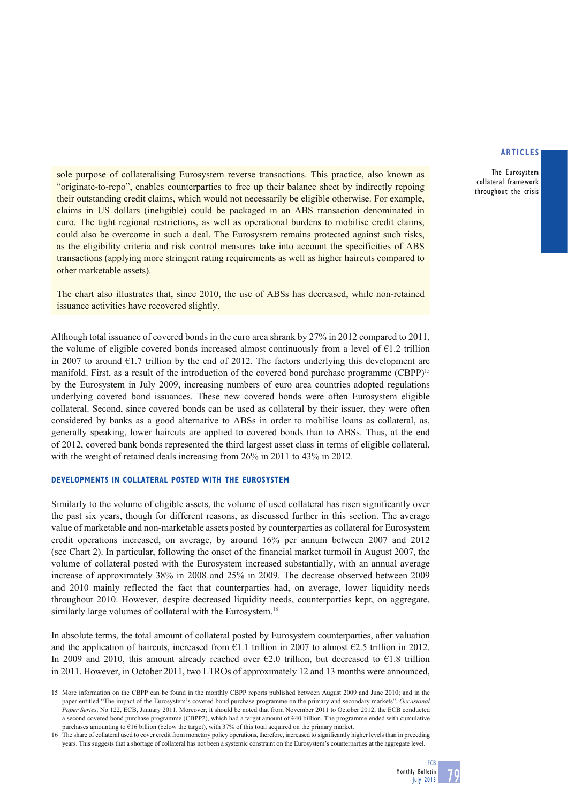The Eurosystem collateral framework throughout the crisis

sole purpose of collateralising Eurosystem reverse transactions. This practice, also known as "originate-to-repo", enables counterparties to free up their balance sheet by indirectly repoing their outstanding credit claims, which would not necessarily be eligible otherwise. For example, claims in US dollars (ineligible) could be packaged in an ABS transaction denominated in euro. The tight regional restrictions, as well as operational burdens to mobilise credit claims, could also be overcome in such a deal. The Eurosystem remains protected against such risks, as the eligibility criteria and risk control measures take into account the specificities of ABS transactions (applying more stringent rating requirements as well as higher haircuts compared to other marketable assets).

The chart also illustrates that, since 2010, the use of ABSs has decreased, while non-retained issuance activities have recovered slightly.

Although total issuance of covered bonds in the euro area shrank by 27% in 2012 compared to 2011, the volume of eligible covered bonds increased almost continuously from a level of  $E1.2$  trillion in 2007 to around  $E1.7$  trillion by the end of 2012. The factors underlying this development are manifold. First, as a result of the introduction of the covered bond purchase programme (CBPP)15 by the Eurosystem in July 2009, increasing numbers of euro area countries adopted regulations underlying covered bond issuances. These new covered bonds were often Eurosystem eligible collateral. Second, since covered bonds can be used as collateral by their issuer, they were often considered by banks as a good alternative to ABSs in order to mobilise loans as collateral, as, generally speaking, lower haircuts are applied to covered bonds than to ABSs. Thus, at the end of 2012, covered bank bonds represented the third largest asset class in terms of eligible collateral, with the weight of retained deals increasing from 26% in 2011 to 43% in 2012.

## **DEVELOPMENTS IN COLLATERAL POSTED WITH THE EUROSYSTEM**

Similarly to the volume of eligible assets, the volume of used collateral has risen significantly over the past six years, though for different reasons, as discussed further in this section. The average value of marketable and non-marketable assets posted by counterparties as collateral for Eurosystem credit operations increased, on average, by around 16% per annum between 2007 and 2012 (see Chart 2). In particular, following the onset of the financial market turmoil in August 2007, the volume of collateral posted with the Eurosystem increased substantially, with an annual average increase of approximately 38% in 2008 and 25% in 2009. The decrease observed between 2009 and 2010 mainly reflected the fact that counterparties had, on average, lower liquidity needs throughout 2010. However, despite decreased liquidity needs, counterparties kept, on aggregate, similarly large volumes of collateral with the Eurosystem.<sup>16</sup>

In absolute terms, the total amount of collateral posted by Eurosystem counterparties, after valuation and the application of haircuts, increased from  $\epsilon$ 1.1 trillion in 2007 to almost  $\epsilon$ 2.5 trillion in 2012. In 2009 and 2010, this amount already reached over  $\epsilon$ 2.0 trillion, but decreased to  $\epsilon$ 1.8 trillion in 2011. However, in October 2011, two LTROs of approximately 12 and 13 months were announced,

<sup>15</sup> More information on the CBPP can be found in the monthly CBPP reports published between August 2009 and June 2010; and in the paper entitled "The impact of the Eurosystem's covered bond purchase programme on the primary and secondary markets", *Occasional Paper Series*, No 122, ECB, January 2011. Moreover, it should be noted that from November 2011 to October 2012, the ECB conducted a second covered bond purchase programme (CBPP2), which had a target amount of €40 billion. The programme ended with cumulative purchases amounting to €16 billion (below the target), with 37% of this total acquired on the primary market.

<sup>16</sup> The share of collateral used to cover credit from monetary policy operations, therefore, increased to significantly higher levels than in preceding years. This suggests that a shortage of collateral has not been a systemic constraint on the Eurosystem's counterparties at the aggregate level.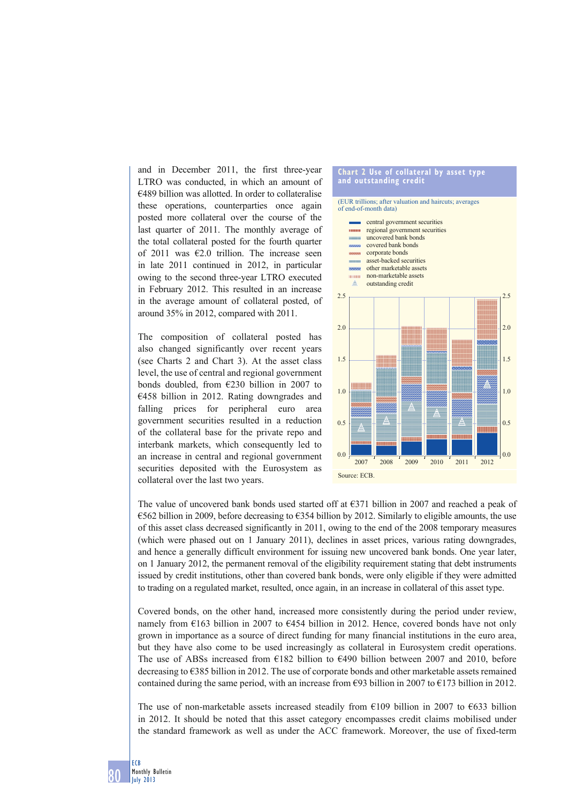and in December 2011, the first three-year LTRO was conducted, in which an amount of €489 billion was allotted. In order to collateralise these operations, counterparties once again posted more collateral over the course of the last quarter of 2011. The monthly average of the total collateral posted for the fourth quarter of 2011 was  $\epsilon$ 2.0 trillion. The increase seen in late 2011 continued in 2012, in particular owing to the second three-year LTRO executed in February 2012. This resulted in an increase in the average amount of collateral posted, of around 35% in 2012, compared with 2011.

The composition of collateral posted has also changed significantly over recent years (see Charts 2 and Chart 3). At the asset class level, the use of central and regional government bonds doubled, from  $\epsilon$ 230 billion in 2007 to €458 billion in 2012. Rating downgrades and falling prices for peripheral euro area government securities resulted in a reduction of the collateral base for the private repo and interbank markets, which consequently led to an increase in central and regional government securities deposited with the Eurosystem as collateral over the last two years.

#### **Chart 2 Use of collateral by asset type and outstanding credit** (EUR trillions; after valuation and haircuts; averages of end-of-month data) central government securities regional government securities uncovered bank bonds covered bank bonds corporate bonds asset-backed securities **month** other marketable assets non-marketable assets  $\mu\mu\mu\mu\mu$ outstanding credit 2.5 2.5 2.0 2.0 1.5 1.5 1.0 1.0 0.5 0.5 **TIOTINI T** mmm  $0.0$ 0.0 2007 2008 2009 2010 2011 2012

Source: ECB

The value of uncovered bank bonds used started off at €371 billion in 2007 and reached a peak of €562 billion in 2009, before decreasing to €354 billion by 2012. Similarly to eligible amounts, the use of this asset class decreased significantly in 2011, owing to the end of the 2008 temporary measures (which were phased out on 1 January 2011), declines in asset prices, various rating downgrades, and hence a generally difficult environment for issuing new uncovered bank bonds. One year later, on 1 January 2012, the permanent removal of the eligibility requirement stating that debt instruments issued by credit institutions, other than covered bank bonds, were only eligible if they were admitted to trading on a regulated market, resulted, once again, in an increase in collateral of this asset type.

Covered bonds, on the other hand, increased more consistently during the period under review, namely from €163 billion in 2007 to €454 billion in 2012. Hence, covered bonds have not only grown in importance as a source of direct funding for many financial institutions in the euro area, but they have also come to be used increasingly as collateral in Eurosystem credit operations. The use of ABSs increased from  $E182$  billion to  $E490$  billion between 2007 and 2010, before decreasing to €385 billion in 2012. The use of corporate bonds and other marketable assets remained contained during the same period, with an increase from  $\epsilon$ 93 billion in 2007 to  $\epsilon$ 173 billion in 2012.

The use of non-marketable assets increased steadily from  $\epsilon$ 109 billion in 2007 to  $\epsilon$ 633 billion in 2012. It should be noted that this asset category encompasses credit claims mobilised under the standard framework as well as under the ACC framework. Moreover, the use of fixed-term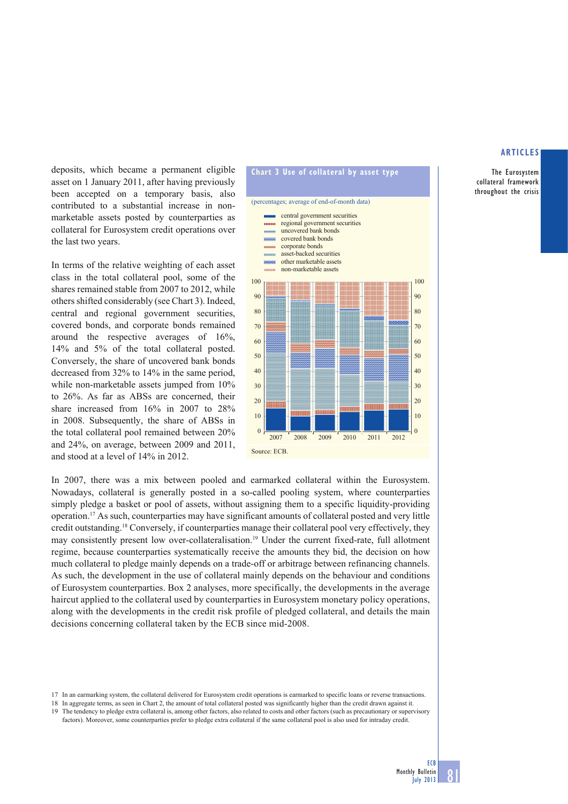The Eurosystem collateral framework throughout the crisis

deposits, which became a permanent eligible asset on 1 January 2011, after having previously been accepted on a temporary basis, also contributed to a substantial increase in nonmarketable assets posted by counterparties as collateral for Eurosystem credit operations over the last two years.

In terms of the relative weighting of each asset class in the total collateral pool, some of the shares remained stable from 2007 to 2012, while others shifted considerably (see Chart 3). Indeed, central and regional government securities, covered bonds, and corporate bonds remained around the respective averages of 16%, 14% and 5% of the total collateral posted. Conversely, the share of uncovered bank bonds decreased from 32% to 14% in the same period, while non-marketable assets jumped from 10% to 26%. As far as ABSs are concerned, their share increased from 16% in 2007 to 28% in 2008. Subsequently, the share of ABSs in the total collateral pool remained between 20% and 24%, on average, between 2009 and 2011, and stood at a level of 14% in 2012.



In 2007, there was a mix between pooled and earmarked collateral within the Eurosystem. Nowadays, collateral is generally posted in a so-called pooling system, where counterparties simply pledge a basket or pool of assets, without assigning them to a specific liquidity-providing operation.17 As such, counterparties may have significant amounts of collateral posted and very little credit outstanding.18 Conversely, if counterparties manage their collateral pool very effectively, they may consistently present low over-collateralisation.19 Under the current fixed-rate, full allotment regime, because counterparties systematically receive the amounts they bid, the decision on how much collateral to pledge mainly depends on a trade-off or arbitrage between refinancing channels. As such, the development in the use of collateral mainly depends on the behaviour and conditions of Eurosystem counterparties. Box 2 analyses, more specifically, the developments in the average haircut applied to the collateral used by counterparties in Eurosystem monetary policy operations, along with the developments in the credit risk profile of pledged collateral, and details the main decisions concerning collateral taken by the ECB since mid-2008.

- 17 In an earmarking system, the collateral delivered for Eurosystem credit operations is earmarked to specific loans or reverse transactions.
- 18 In aggregate terms, as seen in Chart 2, the amount of total collateral posted was significantly higher than the credit drawn against it.
- 19 The tendency to pledge extra collateral is, among other factors, also related to costs and other factors (such as precautionary or supervisory factors). Moreover, some counterparties prefer to pledge extra collateral if the same collateral pool is also used for intraday credit.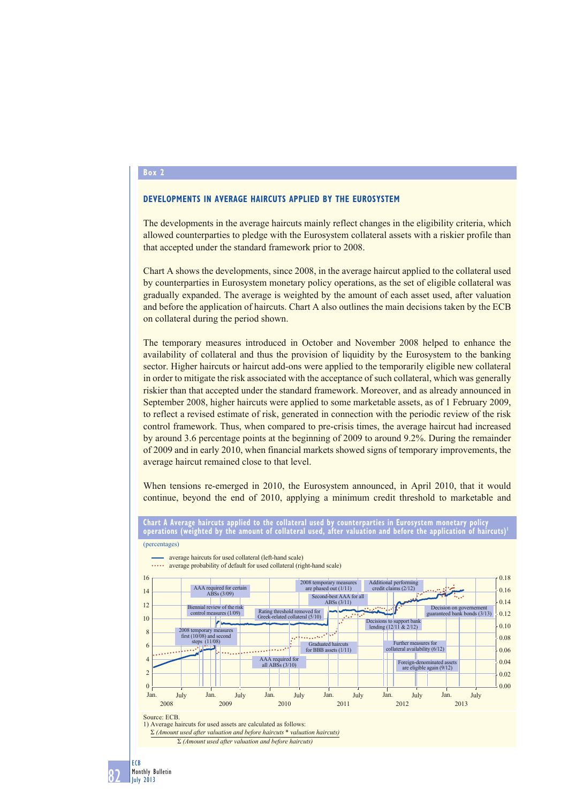#### **Box 2**

## **DEVELOPMENTS IN AVERAGE HAIRCUTS APPLIED BY THE EUROSYSTEM**

The developments in the average haircuts mainly reflect changes in the eligibility criteria, which allowed counterparties to pledge with the Eurosystem collateral assets with a riskier profile than that accepted under the standard framework prior to 2008.

Chart A shows the developments, since 2008, in the average haircut applied to the collateral used by counterparties in Eurosystem monetary policy operations, as the set of eligible collateral was gradually expanded. The average is weighted by the amount of each asset used, after valuation and before the application of haircuts. Chart A also outlines the main decisions taken by the ECB on collateral during the period shown.

The temporary measures introduced in October and November 2008 helped to enhance the availability of collateral and thus the provision of liquidity by the Eurosystem to the banking sector. Higher haircuts or haircut add-ons were applied to the temporarily eligible new collateral in order to mitigate the risk associated with the acceptance of such collateral, which was generally riskier than that accepted under the standard framework. Moreover, and as already announced in September 2008, higher haircuts were applied to some marketable assets, as of 1 February 2009, to reflect a revised estimate of risk, generated in connection with the periodic review of the risk control framework. Thus, when compared to pre-crisis times, the average haircut had increased by around 3.6 percentage points at the beginning of 2009 to around 9.2%. During the remainder of 2009 and in early 2010, when financial markets showed signs of temporary improvements, the average haircut remained close to that level.

When tensions re-emerged in 2010, the Eurosystem announced, in April 2010, that it would continue, beyond the end of 2010, applying a minimum credit threshold to marketable and



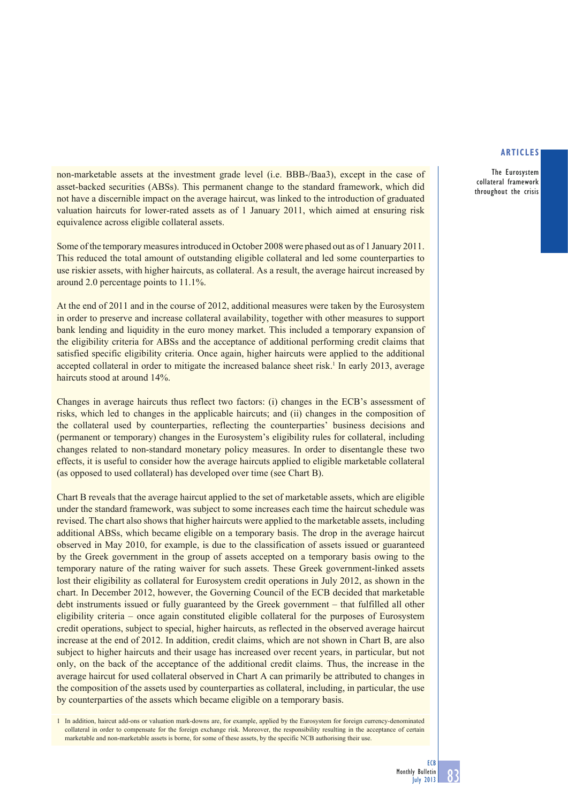The Eurosystem collateral framework throughout the crisis

non-marketable assets at the investment grade level (i.e. BBB-/Baa3), except in the case of asset-backed securities (ABSs). This permanent change to the standard framework, which did not have a discernible impact on the average haircut, was linked to the introduction of graduated valuation haircuts for lower-rated assets as of 1 January 2011, which aimed at ensuring risk equivalence across eligible collateral assets.

Some of the temporary measures introduced in October 2008 were phased out as of 1 January 2011. This reduced the total amount of outstanding eligible collateral and led some counterparties to use riskier assets, with higher haircuts, as collateral. As a result, the average haircut increased by around 2.0 percentage points to 11.1%.

At the end of 2011 and in the course of 2012, additional measures were taken by the Eurosystem in order to preserve and increase collateral availability, together with other measures to support bank lending and liquidity in the euro money market. This included a temporary expansion of the eligibility criteria for ABSs and the acceptance of additional performing credit claims that satisfied specific eligibility criteria. Once again, higher haircuts were applied to the additional accepted collateral in order to mitigate the increased balance sheet risk.<sup>1</sup> In early 2013, average haircuts stood at around 14%.

Changes in average haircuts thus reflect two factors: (i) changes in the ECB's assessment of risks, which led to changes in the applicable haircuts; and (ii) changes in the composition of the collateral used by counterparties, reflecting the counterparties' business decisions and (permanent or temporary) changes in the Eurosystem's eligibility rules for collateral, including changes related to non-standard monetary policy measures. In order to disentangle these two effects, it is useful to consider how the average haircuts applied to eligible marketable collateral (as opposed to used collateral) has developed over time (see Chart B).

Chart B reveals that the average haircut applied to the set of marketable assets, which are eligible under the standard framework, was subject to some increases each time the haircut schedule was revised. The chart also shows that higher haircuts were applied to the marketable assets, including additional ABSs, which became eligible on a temporary basis. The drop in the average haircut observed in May 2010, for example, is due to the classification of assets issued or guaranteed by the Greek government in the group of assets accepted on a temporary basis owing to the temporary nature of the rating waiver for such assets. These Greek government-linked assets lost their eligibility as collateral for Eurosystem credit operations in July 2012, as shown in the chart. In December 2012, however, the Governing Council of the ECB decided that marketable debt instruments issued or fully guaranteed by the Greek government – that fulfilled all other eligibility criteria – once again constituted eligible collateral for the purposes of Eurosystem credit operations, subject to special, higher haircuts, as reflected in the observed average haircut increase at the end of 2012. In addition, credit claims, which are not shown in Chart B, are also subject to higher haircuts and their usage has increased over recent years, in particular, but not only, on the back of the acceptance of the additional credit claims. Thus, the increase in the average haircut for used collateral observed in Chart A can primarily be attributed to changes in the composition of the assets used by counterparties as collateral, including, in particular, the use by counterparties of the assets which became eligible on a temporary basis.

1 In addition, haircut add-ons or valuation mark-downs are, for example, applied by the Eurosystem for foreign currency-denominated collateral in order to compensate for the foreign exchange risk. Moreover, the responsibility resulting in the acceptance of certain marketable and non-marketable assets is borne, for some of these assets, by the specific NCB authorising their use.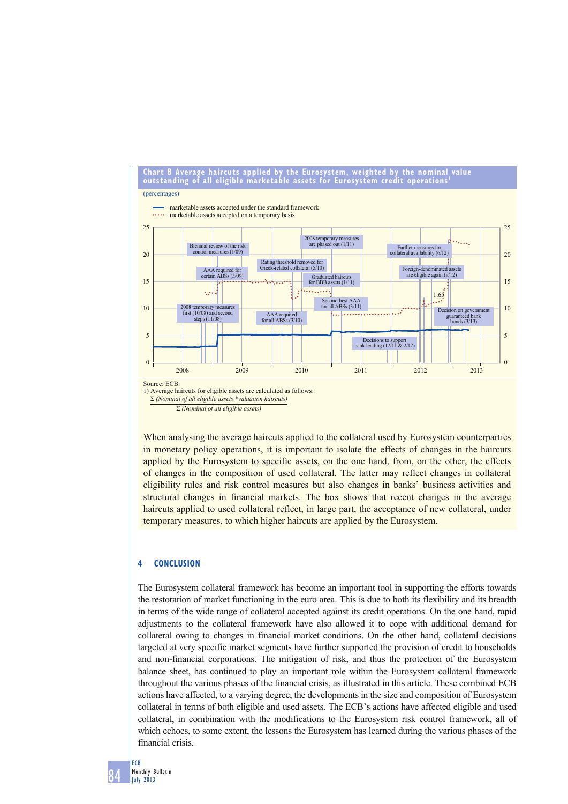

When analysing the average haircuts applied to the collateral used by Eurosystem counterparties in monetary policy operations, it is important to isolate the effects of changes in the haircuts applied by the Eurosystem to specific assets, on the one hand, from, on the other, the effects of changes in the composition of used collateral. The latter may reflect changes in collateral eligibility rules and risk control measures but also changes in banks' business activities and structural changes in financial markets. The box shows that recent changes in the average haircuts applied to used collateral reflect, in large part, the acceptance of new collateral, under temporary measures, to which higher haircuts are applied by the Eurosystem.

## **4 CONCLUSION**

The Eurosystem collateral framework has become an important tool in supporting the efforts towards the restoration of market functioning in the euro area. This is due to both its flexibility and its breadth in terms of the wide range of collateral accepted against its credit operations. On the one hand, rapid adjustments to the collateral framework have also allowed it to cope with additional demand for collateral owing to changes in financial market conditions. On the other hand, collateral decisions targeted at very specific market segments have further supported the provision of credit to households and non-financial corporations. The mitigation of risk, and thus the protection of the Eurosystem balance sheet, has continued to play an important role within the Eurosystem collateral framework throughout the various phases of the financial crisis, as illustrated in this article. These combined ECB actions have affected, to a varying degree, the developments in the size and composition of Eurosystem collateral in terms of both eligible and used assets. The ECB's actions have affected eligible and used collateral, in combination with the modifications to the Eurosystem risk control framework, all of which echoes, to some extent, the lessons the Eurosystem has learned during the various phases of the financial crisis.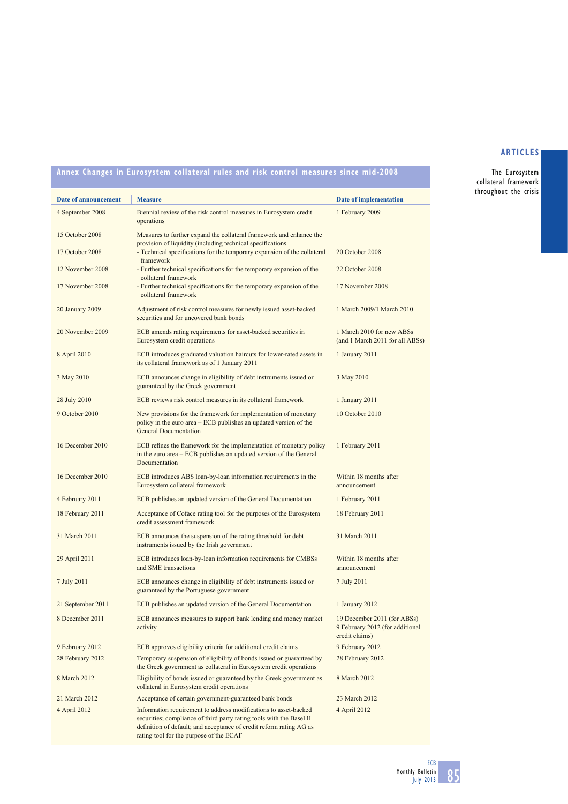The Eurosystem collateral framework throughout the crisis

| Date of announcement | <b>Measure</b>                                                                                                                                                                                                                                             | Date of implementation                                                           |
|----------------------|------------------------------------------------------------------------------------------------------------------------------------------------------------------------------------------------------------------------------------------------------------|----------------------------------------------------------------------------------|
| 4 September 2008     | Biennial review of the risk control measures in Eurosystem credit<br>operations                                                                                                                                                                            | 1 February 2009                                                                  |
| 15 October 2008      | Measures to further expand the collateral framework and enhance the<br>provision of liquidity (including technical specifications                                                                                                                          |                                                                                  |
| 17 October 2008      | - Technical specifications for the temporary expansion of the collateral<br>framework                                                                                                                                                                      | 20 October 2008                                                                  |
| 12 November 2008     | - Further technical specifications for the temporary expansion of the<br>collateral framework                                                                                                                                                              | 22 October 2008                                                                  |
| 17 November 2008     | - Further technical specifications for the temporary expansion of the<br>collateral framework                                                                                                                                                              | 17 November 2008                                                                 |
| 20 January 2009      | Adjustment of risk control measures for newly issued asset-backed<br>securities and for uncovered bank bonds                                                                                                                                               | 1 March 2009/1 March 2010                                                        |
| 20 November 2009     | ECB amends rating requirements for asset-backed securities in<br>Eurosystem credit operations                                                                                                                                                              | 1 March 2010 for new ABSs<br>(and 1 March 2011 for all ABSs)                     |
| 8 April 2010         | ECB introduces graduated valuation haircuts for lower-rated assets in<br>its collateral framework as of 1 January 2011                                                                                                                                     | 1 January 2011                                                                   |
| 3 May 2010           | ECB announces change in eligibility of debt instruments issued or<br>guaranteed by the Greek government                                                                                                                                                    | 3 May 2010                                                                       |
| 28 July 2010         | ECB reviews risk control measures in its collateral framework                                                                                                                                                                                              | 1 January 2011                                                                   |
| 9 October 2010       | New provisions for the framework for implementation of monetary<br>policy in the euro area – ECB publishes an updated version of the<br><b>General Documentation</b>                                                                                       | 10 October 2010                                                                  |
| 16 December 2010     | ECB refines the framework for the implementation of monetary policy<br>in the euro area – ECB publishes an updated version of the General<br>Documentation                                                                                                 | 1 February 2011                                                                  |
| 16 December 2010     | ECB introduces ABS loan-by-loan information requirements in the<br>Eurosystem collateral framework                                                                                                                                                         | Within 18 months after<br>announcement                                           |
| 4 February 2011      | ECB publishes an updated version of the General Documentation                                                                                                                                                                                              | 1 February 2011                                                                  |
| 18 February 2011     | Acceptance of Coface rating tool for the purposes of the Eurosystem<br>credit assessment framework                                                                                                                                                         | 18 February 2011                                                                 |
| 31 March 2011        | ECB announces the suspension of the rating threshold for debt<br>instruments issued by the Irish government                                                                                                                                                | 31 March 2011                                                                    |
| 29 April 2011        | ECB introduces loan-by-loan information requirements for CMBSs<br>and SME transactions                                                                                                                                                                     | Within 18 months after<br>announcement                                           |
| 7 July 2011          | ECB announces change in eligibility of debt instruments issued or<br>guaranteed by the Portuguese government                                                                                                                                               | 7 July 2011                                                                      |
| 21 September 2011    | ECB publishes an updated version of the General Documentation                                                                                                                                                                                              | 1 January 2012                                                                   |
| 8 December 2011      | ECB announces measures to support bank lending and money market<br>activity                                                                                                                                                                                | 19 December 2011 (for ABSs)<br>9 February 2012 (for additional<br>credit claims) |
| 9 February 2012      | ECB approves eligibility criteria for additional credit claims                                                                                                                                                                                             | 9 February 2012                                                                  |
| 28 February 2012     | Temporary suspension of eligibility of bonds issued or guaranteed by<br>the Greek government as collateral in Eurosystem credit operations                                                                                                                 | 28 February 2012                                                                 |
| 8 March 2012         | Eligibility of bonds issued or guaranteed by the Greek government as<br>collateral in Eurosystem credit operations                                                                                                                                         | 8 March 2012                                                                     |
| 21 March 2012        | Acceptance of certain government-guaranteed bank bonds                                                                                                                                                                                                     | 23 March 2012                                                                    |
| 4 April 2012         | Information requirement to address modifications to asset-backed<br>securities; compliance of third party rating tools with the Basel II<br>definition of default; and acceptance of credit reform rating AG as<br>rating tool for the purpose of the ECAF | 4 April 2012                                                                     |

**Annex Changes in Eurosystem collateral rules and risk control measures since mid-2008**